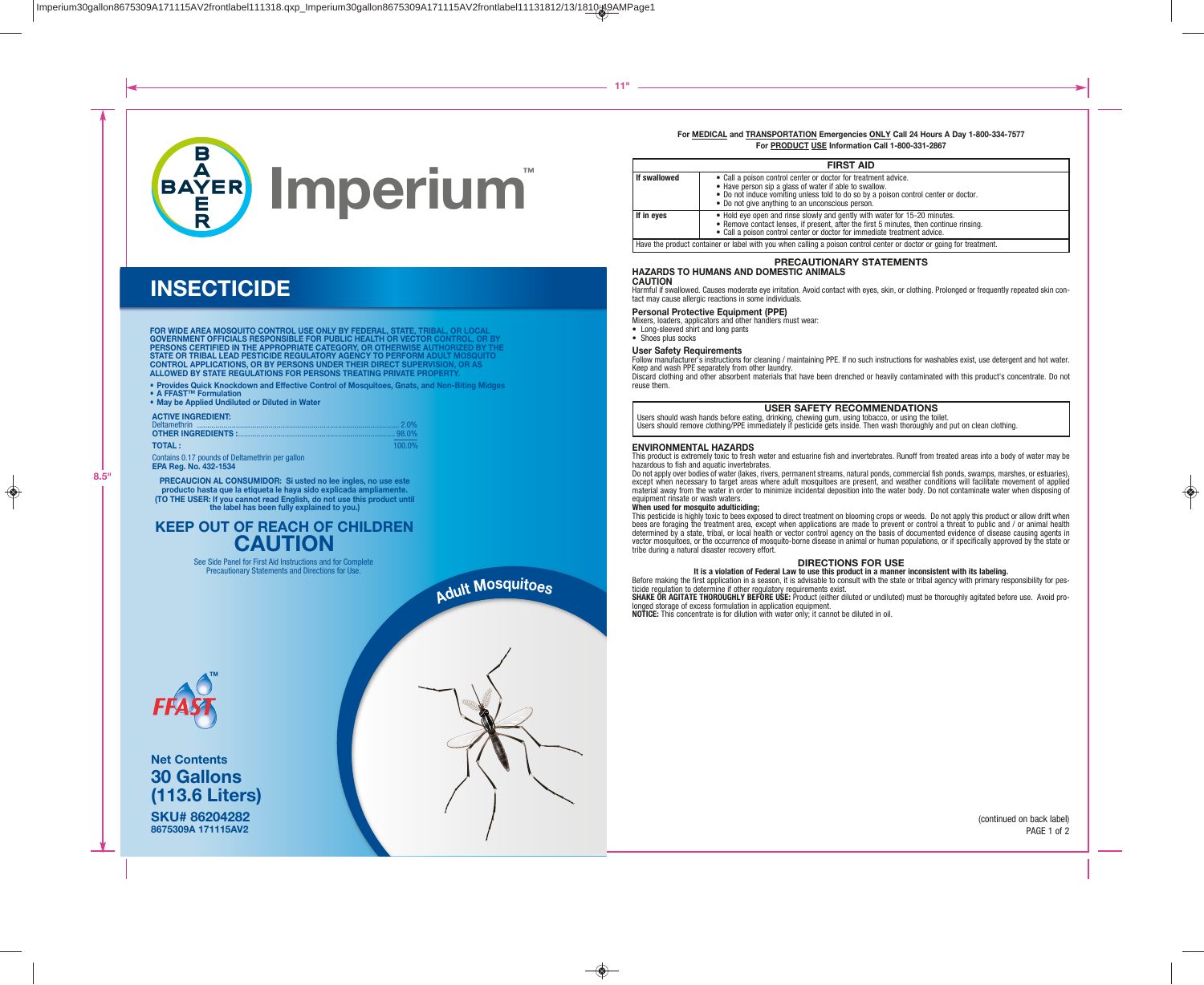

## **INSECTICIDE**

FOR WIDE AREA MOSQUITO CONTROL USE ONLY BY FEDERAL, STATE, TRIBAL, OR LOCAL<br>GOVERNMENT OFFICIALS RESPONSIBLE FOR PUBLIC HEALTH OR VECTOR CONTROL, OR BY<br>PERSONS CERTIFIED IN THE APPROPRIATE CATEGORY, OR OTHERWISE AUTHORIZED **ALLOWED BY STATE REGULATIONS FOR PERSONS TREATING PRIVATE PROPERTY.** 

• Provides Quick Knockdown and Effective Control of Mosquitoes, Gnats, and Non-Biting Midges

• A FFAST™ Formulation

• May be Applied Undiluted or Diluted in Water

| <b>ACTIVE INGREDIENT:</b> |           |
|---------------------------|-----------|
|                           |           |
| <b>TOTAL:</b>             | $100.0\%$ |

Contains 0.17 pounds of Deltamethrin per gallon **EPA Reg. No. 432-1534** 

**PRECAUCION AL CONSUMIDOR: Si usted no lee ingles, no use este producto hasta que la etiqueta le haya sido explicada ampliamente. (TO THE USER: If you cannot read English, do not use this product until the label has been fully explained to you.)**

## **KEEP OUT OF REACH OF CHILDREN CAUTION**

See Side Panel for First Aid Instructions and for Complete Precautionary Statements and Directions for Use.



**SKU# 86204282 8675309A 171115AV2 Net Contents 30 Gallons (113.6 Liters)**

# **<sup>A</sup>dul<sup>t</sup> <sup>M</sup>osquitoe<sup>s</sup>**

#### **For MEDICAL and TRANSPORTATION Emergencies ONLY Call 24 Hours A Day 1-800-334-7577 For PRODUCT USE Information Call 1-800-331-2867 FIRST AID**

|              | FIRSI AID                                                                                                                                                                                                                                                           |
|--------------|---------------------------------------------------------------------------------------------------------------------------------------------------------------------------------------------------------------------------------------------------------------------|
| If swallowed | • Call a poison control center or doctor for treatment advice.<br>• Have person sip a glass of water if able to swallow.<br>• Do not induce vomiting unless told to do so by a poison control center or doctor.<br>• Do not give anything to an unconscious person. |
| If in eves   | • Hold eye open and rinse slowly and gently with water for 15-20 minutes.<br>• Remove contact lenses, if present, after the first 5 minutes, then continue rinsing.<br>• Call a poison control center or doctor for immediate treatment advice.                     |
|              | Have the product container or label with you when calling a poison control center or doctor or going for treatment.                                                                                                                                                 |

#### **PRECAUTIONARY STATEMENTS**

#### **HAZARDS TO HUMANS AND DOMESTIC ANIMALS**

#### **CAUTION**

Harmful if swallowed. Causes moderate eye irritation. Avoid contact with eyes, skin, or clothing. Prolonged or frequently repeated skin contact may cause allergic reactions in some individuals.

#### **Personal Protective Equipment (PPE)**

Mixers, loaders, applicators and other handlers must wear:

• Long-sleeved shirt and long pants

• Shoes plus socks

#### **User Safety Requirements**

Follow manufacturer's instructions for cleaning / maintaining PPE. If no such instructions for washables exist, use detergent and hot water. Keep and wash PPE separately from other laundry.

Discard clothing and other absorbent materials that have been drenched or heavily contaminated with this product's concentrate. Do not reuse them.

#### **USER SAFETY RECOMMENDATIONS**

Users should wash hands before eating, drinking, chewing gum, using tobacco, or using the toilet. Users should remove clothing/PPE immediately if pesticide gets inside. Then wash thoroughly and put on clean clothing.

#### **ENVIRONMENTAL HAZARDS**

This product is extremely toxic to fresh water and estuarine fish and invertebrates. Runoff from treated areas into a body of water may be hazardous to fish and aquatic invertebrates.

Do not apply over bodies of water (lakes, rivers, permanent streams, natural ponds, commercial fish ponds, swamps, marshes, or estuaries), except when necessary to target areas where adult mosquitoes are present, and weather conditions will facilitate movement of applied material away from the water in order to minimize incidental deposition into the water body. Do not contaminate water when disposing of equipment rinsate or wash waters.

#### **When used for mosquito adulticiding;**

This pesticide is highly toxic to bees exposed to direct treatment on blooming crops or weeds. Do not apply this product or allow drift when bees are foraging the treatment area, except when applications are made to prevent or control a threat to public and / or animal health determined by a state, tribal, or local health or vector control agency on the basis of documented evidence of disease causing agents in vector mosquitoes, or the occurrence of mosquito-borne disease in animal or human populations, or if specifically approved by the state or tribe during a natural disaster recovery effort.

#### **DIRECTIONS FOR USE**

#### **It is a violation of Federal Law to use this product in a manner inconsistent with its labeling.**

Before making the first application in a season, it is advisable to consult with the state or tribal agency with primary responsibility for pesticide regulation to determine if other regulatory requirements exist.

**SHAKE OR AGITATE THOROUGHLY BEFORE USE:** Product (either diluted or undiluted) must be thoroughly agitated before use. Avoid prolonged storage of excess formulation in application equipment.

**NOTICE:** This concentrate is for dilution with water only; it cannot be diluted in oil.